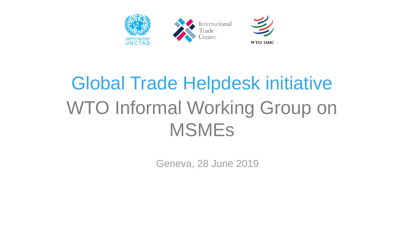

# Global Trade Helpdesk initiative WTO Informal Working Group on MSMEs

Geneva, 28 June 2019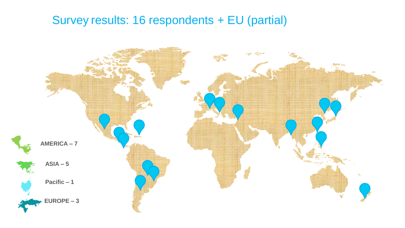#### Survey results: 16 respondents + EU (partial)

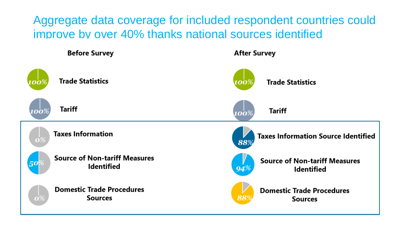Aggregate data coverage for included respondent countries could improve by over 40% thanks national sources identified

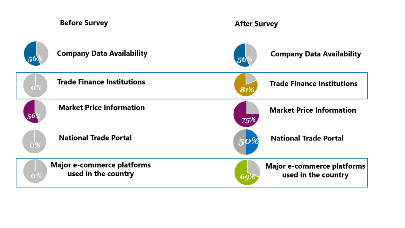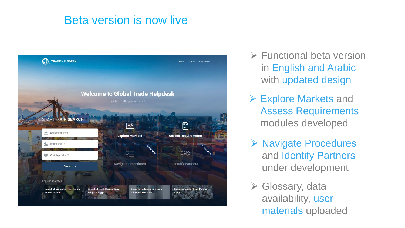#### Beta version is now live



- ➢ Functional beta version in English and Arabic with updated design
- ➢ Explore Markets and Assess Requirements modules developed
- ➢ Navigate Procedures and Identify Partners under development
- ➢ Glossary, data availability, user materials uploaded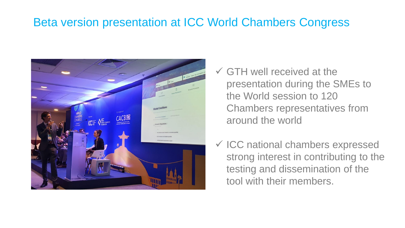### Beta version presentation at ICC World Chambers Congress



- $\checkmark$  GTH well received at the presentation during the SMEs to the World session to 120 Chambers representatives from around the world
- ✓ ICC national chambers expressed strong interest in contributing to the testing and dissemination of the tool with their members.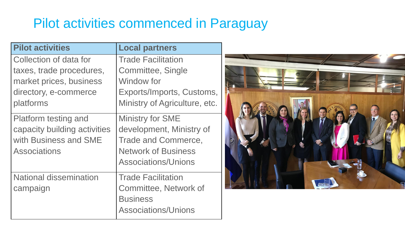## Pilot activities commenced in Paraguay

| <b>Pilot activities</b>       | <b>Local partners</b>         |
|-------------------------------|-------------------------------|
| Collection of data for        | <b>Trade Facilitation</b>     |
| taxes, trade procedures,      | Committee, Single             |
| market prices, business       | Window for                    |
| directory, e-commerce         | Exports/Imports, Customs,     |
| platforms                     | Ministry of Agriculture, etc. |
| <b>Platform testing and</b>   | <b>Ministry for SME</b>       |
| capacity building activities  | development, Ministry of      |
| with Business and SME         | <b>Trade and Commerce,</b>    |
| <b>Associations</b>           | <b>Network of Business</b>    |
|                               | <b>Associations/Unions</b>    |
| <b>National dissemination</b> | <b>Trade Facilitation</b>     |
| campaign                      | <b>Committee, Network of</b>  |
|                               | <b>Business</b>               |
|                               | <b>Associations/Unions</b>    |